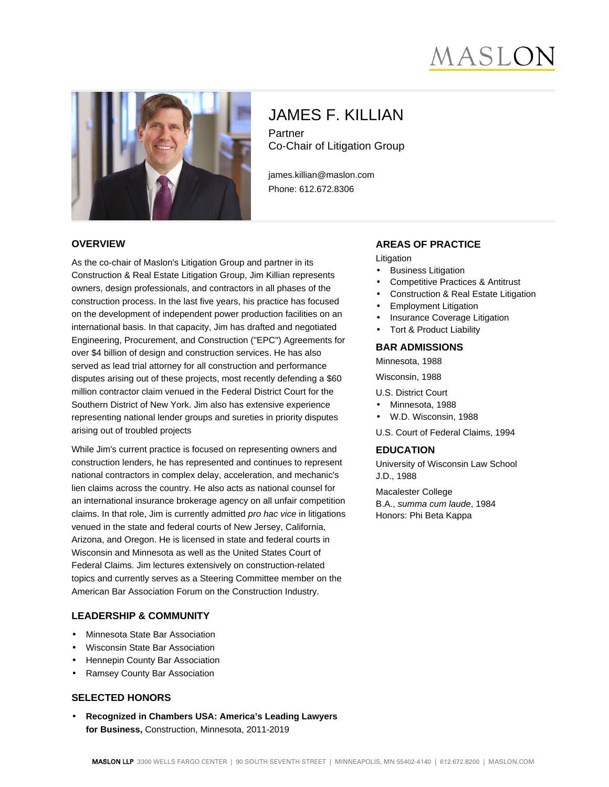# MASLC



# JAMES F. KILLIAN Partner

Co-Chair of Litigation Group

james.killian@maslon.com Phone: 612.672.8306

#### **OVERVIEW**

As the co-chair of Maslon's Litigation Group and partner in its Construction & Real Estate Litigation Group, Jim Killian represents owners, design professionals, and contractors in all phases of the construction process. In the last five years, his practice has focused on the development of independent power production facilities on an international basis. In that capacity, Jim has drafted and negotiated Engineering, Procurement, and Construction ("EPC") Agreements for over \$4 billion of design and construction services. He has also served as lead trial attorney for all construction and performance disputes arising out of these projects, most recently defending a \$60 million contractor claim venued in the Federal District Court for the Southern District of New York. Jim also has extensive experience representing national lender groups and sureties in priority disputes arising out of troubled projects

While Jim's current practice is focused on representing owners and construction lenders, he has represented and continues to represent national contractors in complex delay, acceleration, and mechanic's lien claims across the country. He also acts as national counsel for an international insurance brokerage agency on all unfair competition claims. In that role, Jim is currently admitted pro hac vice in litigations venued in the state and federal courts of New Jersey, California, Arizona, and Oregon. He is licensed in state and federal courts in Wisconsin and Minnesota as well as the United States Court of Federal Claims. Jim lectures extensively on construction-related topics and currently serves as a Steering Committee member on the American Bar Association Forum on the Construction Industry.

#### **LEADERSHIP & COMMUNITY**

- Minnesota State Bar Association
- Wisconsin State Bar Association
- Hennepin County Bar Association
- Ramsey County Bar Association

#### **SELECTED HONORS**

• **Recognized in Chambers USA: America's Leading Lawyers for Business,** Construction, Minnesota, 2011-2019

#### **AREAS OF PRACTICE**

Litigation

- **Business Litigation**
- Competitive Practices & Antitrust
- Construction & Real Estate Litigation
- Employment Litigation
- Insurance Coverage Litigation
- Tort & Product Liability

#### **BAR ADMISSIONS**

Minnesota, 1988

Wisconsin, 1988

- U.S. District Court
- Minnesota, 1988
- W.D. Wisconsin, 1988

U.S. Court of Federal Claims, 1994

#### **EDUCATION**

University of Wisconsin Law School J.D., 1988

Macalester College B.A., summa cum laude, 1984 Honors: Phi Beta Kappa